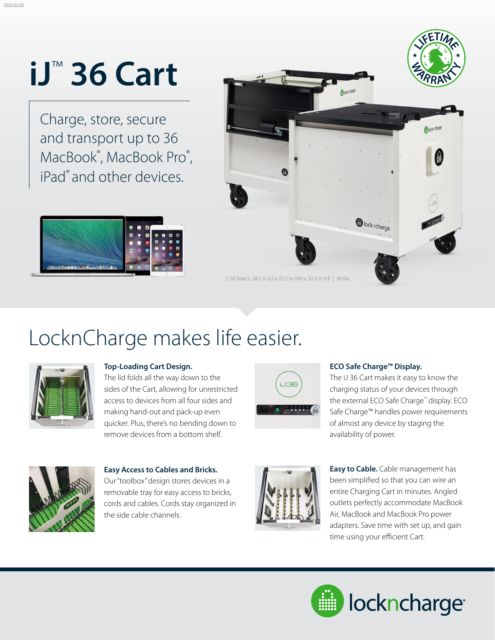# **iJ**™ **36 Cart**

Charge, store, secure and transport up to 36 MacBook®, MacBook Pro®, iPad<sup>®</sup> and other devices.





### LocknCharge makes life easier.



#### **Top-Loading Cart Design.**

The lid folds all the way down to the sides of the Cart, allowing for unrestricted access to devices from all four sides and making hand-out and pack-up even quicker. Plus, there's no bending down to remove devices from a bottom shelf.



#### **ECO Safe Charge™ Display.**

The iJ 36 Cart makes it easy to know the charging status of your devices through the external ECO Safe Charge™ display. ECO Safe Charge™ handles power requirements of almost any device by staging the availability of power.



**Easy Access to Cables and Bricks.** 

Our "toolbox" design stores devices in a removable tray for easy access to bricks, cords and cables. Cords stay organized in the side cable channels.



**Easy to Cable.** Cable management has been simplified so that you can wire an entire Charging Cart in minutes. Angled outlets perfectly accommodate MacBook Air, MacBook and MacBook Pro power adapters. Save time with set up, and gain time using your efficient Cart.